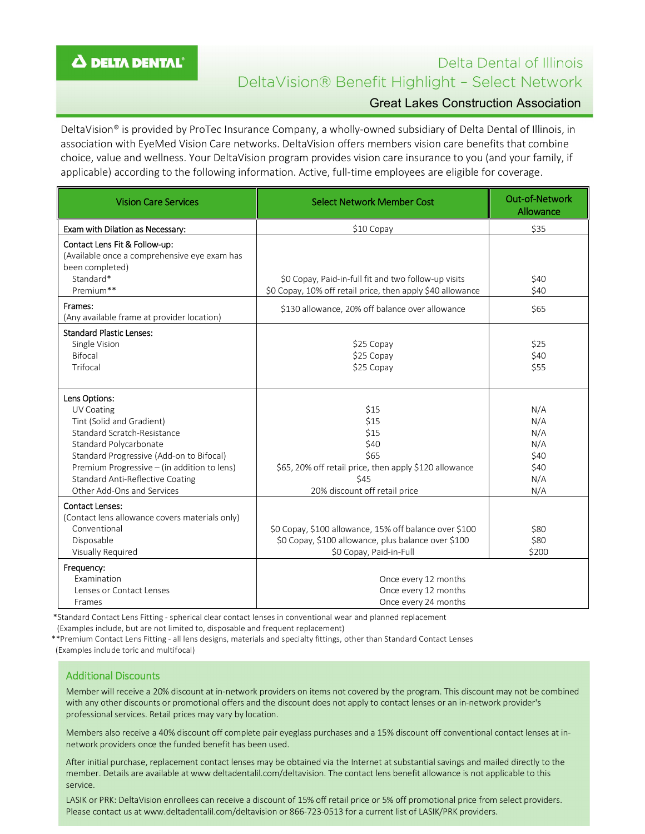## Δ DELTA DENTAL<sup>®</sup>

# Delta Dental of Illinois DeltaVision® Benefit Highlight - Select Network Great Lakes Construction Association

DeltaVision® is provided by ProTec Insurance Company, a wholly-owned subsidiary of Delta Dental of Illinois, in association with EyeMed Vision Care networks. DeltaVision offers members vision care benefits that combine choice, value and wellness. Your DeltaVision program provides vision care insurance to you (and your family, if applicable) according to the following information. Active, full-time employees are eligible for coverage.

| <b>Vision Care Services</b>                                                                                                                                                                                                                                                           | <b>Select Network Member Cost</b>                                                                                                        | <b>Out-of-Network</b><br>Allowance                     |
|---------------------------------------------------------------------------------------------------------------------------------------------------------------------------------------------------------------------------------------------------------------------------------------|------------------------------------------------------------------------------------------------------------------------------------------|--------------------------------------------------------|
| Exam with Dilation as Necessary:                                                                                                                                                                                                                                                      | \$10 Copay                                                                                                                               | \$35                                                   |
| Contact Lens Fit & Follow-up:<br>(Available once a comprehensive eye exam has<br>been completed)<br>Standard*                                                                                                                                                                         | \$0 Copay, Paid-in-full fit and two follow-up visits                                                                                     | \$40                                                   |
| Premium**                                                                                                                                                                                                                                                                             | \$0 Copay, 10% off retail price, then apply \$40 allowance                                                                               | \$40                                                   |
| Frames:<br>(Any available frame at provider location)                                                                                                                                                                                                                                 | \$130 allowance, 20% off balance over allowance                                                                                          | \$65                                                   |
| <b>Standard Plastic Lenses:</b><br>Single Vision<br><b>Bifocal</b><br>Trifocal                                                                                                                                                                                                        | \$25 Copay<br>\$25 Copay<br>\$25 Copay                                                                                                   | \$25<br>\$40<br>\$55                                   |
| Lens Options:<br>UV Coating<br>Tint (Solid and Gradient)<br>Standard Scratch-Resistance<br>Standard Polycarbonate<br>Standard Progressive (Add-on to Bifocal)<br>Premium Progressive - (in addition to lens)<br><b>Standard Anti-Reflective Coating</b><br>Other Add-Ons and Services | \$15<br>\$15<br>\$15<br>\$40<br>\$65<br>\$65, 20% off retail price, then apply \$120 allowance<br>\$45<br>20% discount off retail price  | N/A<br>N/A<br>N/A<br>N/A<br>\$40<br>\$40<br>N/A<br>N/A |
| <b>Contact Lenses:</b><br>(Contact lens allowance covers materials only)<br>Conventional<br>Disposable<br>Visually Required                                                                                                                                                           | \$0 Copay, \$100 allowance, 15% off balance over \$100<br>\$0 Copay, \$100 allowance, plus balance over \$100<br>\$0 Copay, Paid-in-Full | \$80<br>\$80<br>\$200                                  |
| Frequency:<br>Examination<br>Lenses or Contact Lenses<br>Frames                                                                                                                                                                                                                       | Once every 12 months<br>Once every 12 months<br>Once every 24 months                                                                     |                                                        |

\*Standard Contact Lens Fitting - spherical clear contact lenses in conventional wear and planned replacement

(Examples include, but are not limited to, disposable and frequent replacement)

 \*\*Premium Contact Lens Fitting - all lens designs, materials and specialty fittings, other than Standard Contact Lenses (Examples include toric and multifocal)

## Additional Discounts

Member will receive a 20% discount at in-network providers on items not covered by the program. This discount may not be combined with any other discounts or promotional offers and the discount does not apply to contact lenses or an in-network provider's professional services. Retail prices may vary by location.

Members also receive a 40% discount off complete pair eyeglass purchases and a 15% discount off conventional contact lenses at innetwork providers once the funded benefit has been used.

After initial purchase, replacement contact lenses may be obtained via the Internet at substantial savings and mailed directly to the member. Details are available at www deltadentalil.com/deltavision. The contact lens benefit allowance is not applicable to this service.

LASIK or PRK: DeltaVision enrollees can receive a discount of 15% off retail price or 5% off promotional price from select providers. Please contact us at www.deltadentalil.com/deltavision or 866-723-0513 for a current list of LASIK/PRK providers.